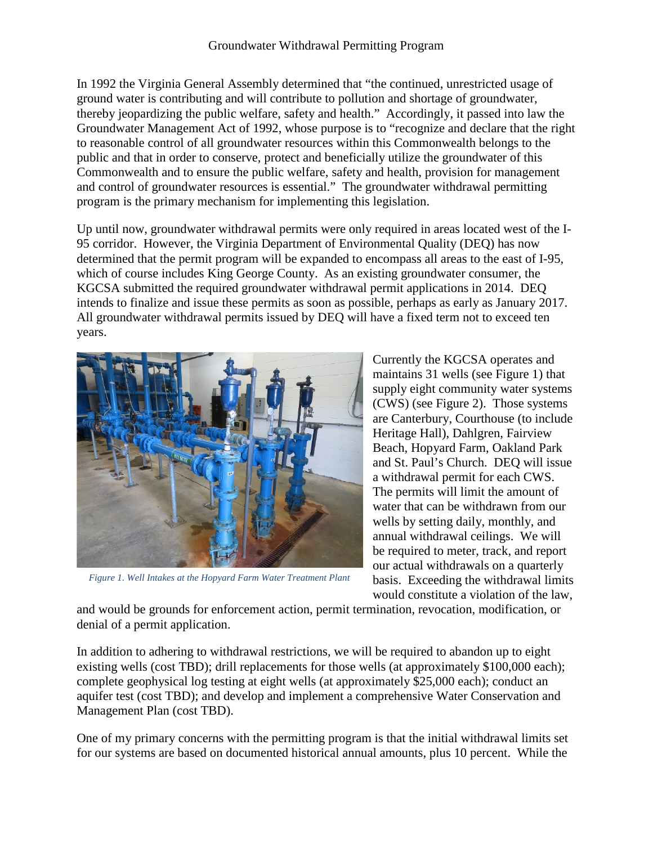In 1992 the Virginia General Assembly determined that "the continued, unrestricted usage of ground water is contributing and will contribute to pollution and shortage of groundwater, thereby jeopardizing the public welfare, safety and health." Accordingly, it passed into law the Groundwater Management Act of 1992, whose purpose is to "recognize and declare that the right to reasonable control of all groundwater resources within this Commonwealth belongs to the public and that in order to conserve, protect and beneficially utilize the groundwater of this Commonwealth and to ensure the public welfare, safety and health, provision for management and control of groundwater resources is essential." The groundwater withdrawal permitting program is the primary mechanism for implementing this legislation.

Up until now, groundwater withdrawal permits were only required in areas located west of the I-95 corridor. However, the Virginia Department of Environmental Quality (DEQ) has now determined that the permit program will be expanded to encompass all areas to the east of I-95, which of course includes King George County. As an existing groundwater consumer, the KGCSA submitted the required groundwater withdrawal permit applications in 2014. DEQ intends to finalize and issue these permits as soon as possible, perhaps as early as January 2017. All groundwater withdrawal permits issued by DEQ will have a fixed term not to exceed ten years.



 *Figure 1. Well Intakes at the Hopyard Farm Water Treatment Plant*

Currently the KGCSA operates and maintains 31 wells (see Figure 1) that supply eight community water systems (CWS) (see Figure 2). Those systems are Canterbury, Courthouse (to include Heritage Hall), Dahlgren, Fairview Beach, Hopyard Farm, Oakland Park and St. Paul's Church. DEQ will issue a withdrawal permit for each CWS. The permits will limit the amount of water that can be withdrawn from our wells by setting daily, monthly, and annual withdrawal ceilings. We will be required to meter, track, and report our actual withdrawals on a quarterly basis. Exceeding the withdrawal limits would constitute a violation of the law,

and would be grounds for enforcement action, permit termination, revocation, modification, or denial of a permit application.

In addition to adhering to withdrawal restrictions, we will be required to abandon up to eight existing wells (cost TBD); drill replacements for those wells (at approximately \$100,000 each); complete geophysical log testing at eight wells (at approximately \$25,000 each); conduct an aquifer test (cost TBD); and develop and implement a comprehensive Water Conservation and Management Plan (cost TBD).

One of my primary concerns with the permitting program is that the initial withdrawal limits set for our systems are based on documented historical annual amounts, plus 10 percent. While the